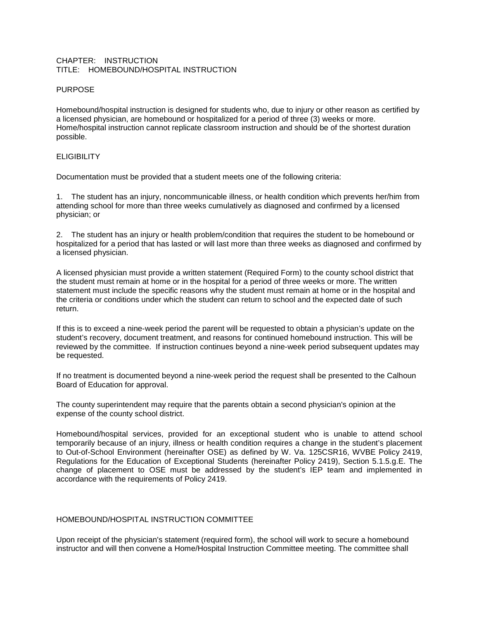### CHAPTER: INSTRUCTION TITLE: HOMEBOUND/HOSPITAL INSTRUCTION

# PURPOSE

Homebound/hospital instruction is designed for students who, due to injury or other reason as certified by a licensed physician, are homebound or hospitalized for a period of three (3) weeks or more. Home/hospital instruction cannot replicate classroom instruction and should be of the shortest duration possible.

# **ELIGIBILITY**

Documentation must be provided that a student meets one of the following criteria:

1. The student has an injury, noncommunicable illness, or health condition which prevents her/him from attending school for more than three weeks cumulatively as diagnosed and confirmed by a licensed physician; or

2. The student has an injury or health problem/condition that requires the student to be homebound or hospitalized for a period that has lasted or will last more than three weeks as diagnosed and confirmed by a licensed physician.

A licensed physician must provide a written statement (Required Form) to the county school district that the student must remain at home or in the hospital for a period of three weeks or more. The written statement must include the specific reasons why the student must remain at home or in the hospital and the criteria or conditions under which the student can return to school and the expected date of such return.

If this is to exceed a nine-week period the parent will be requested to obtain a physician's update on the student's recovery, document treatment, and reasons for continued homebound instruction. This will be reviewed by the committee. If instruction continues beyond a nine-week period subsequent updates may be requested.

If no treatment is documented beyond a nine-week period the request shall be presented to the Calhoun Board of Education for approval.

The county superintendent may require that the parents obtain a second physician's opinion at the expense of the county school district.

Homebound/hospital services, provided for an exceptional student who is unable to attend school temporarily because of an injury, illness or health condition requires a change in the student's placement to Out-of-School Environment (hereinafter OSE) as defined by W. Va. 125CSR16, WVBE Policy 2419, Regulations for the Education of Exceptional Students (hereinafter Policy 2419), Section 5.1.5.g.E. The change of placement to OSE must be addressed by the student's IEP team and implemented in accordance with the requirements of Policy 2419.

## HOMEBOUND/HOSPITAL INSTRUCTION COMMITTEE

Upon receipt of the physician's statement (required form), the school will work to secure a homebound instructor and will then convene a Home/Hospital Instruction Committee meeting. The committee shall